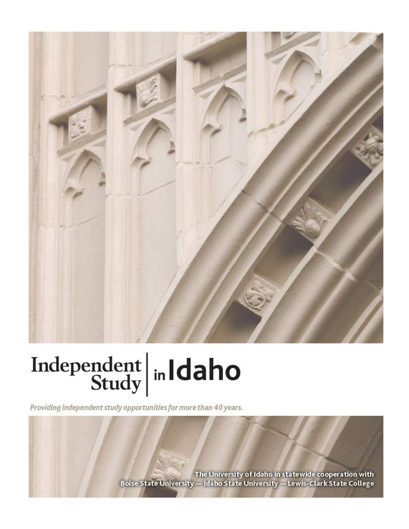

# Independent  $\left|\frac{\text{ind}}{\text{Study}}\right|$  in Idaho

Providing independent study opportunities for more than 40 years.

The University of Idaho in statewide cooperation with Boise State University - Idaho State University - Lewis-Clark State College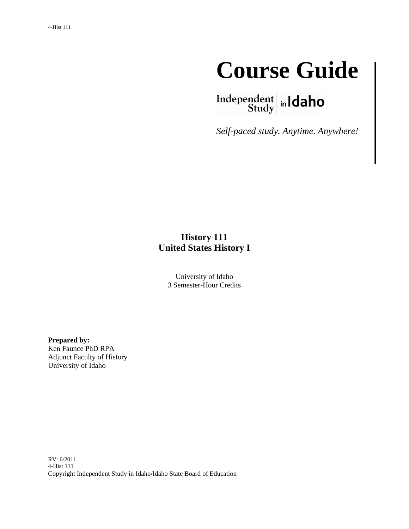

Independent  $\left|\frac{\text{independent}}{\text{Study}}\right|$  in Idaho

*Self-paced study. Anytime. Anywhere!*

# **History 111 United States History I**

University of Idaho 3 Semester-Hour Credits

**Prepared by:** Ken Faunce PhD RPA Adjunct Faculty of History University of Idaho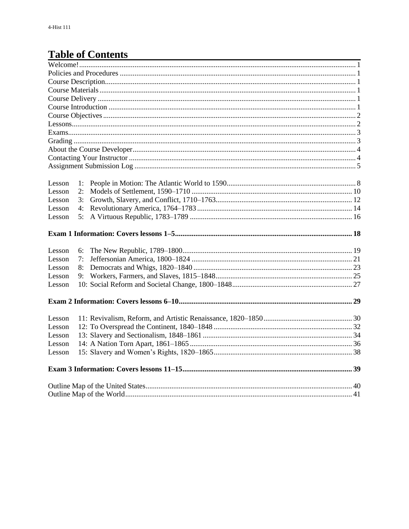# **Table of Contents**

| Lesson | 1: |  |
|--------|----|--|
| Lesson | 2: |  |
| Lesson | 3: |  |
| Lesson | 4: |  |
| Lesson | 5: |  |
|        |    |  |
| Lesson | 6: |  |
| Lesson | 7: |  |
| Lesson | 8: |  |
| Lesson | 9: |  |
| Lesson |    |  |
|        |    |  |
| Lesson |    |  |
| Lesson |    |  |
| Lesson |    |  |
| Lesson |    |  |
| Lesson |    |  |
|        |    |  |
|        |    |  |
|        |    |  |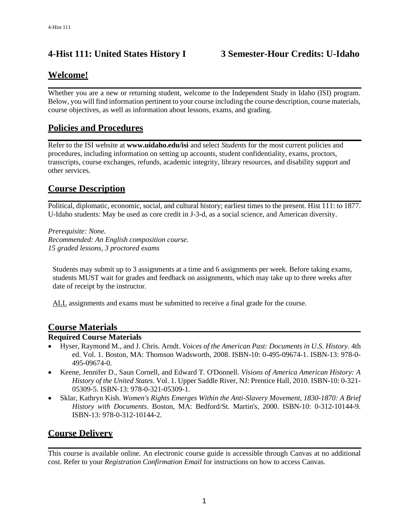# **4-Hist 111: United States History I 3 Semester-Hour Credits: U-Idaho**

# **Welcome!**

Whether you are a new or returning student, welcome to the Independent Study in Idaho (ISI) program. Below, you will find information pertinent to your course including the course description, course materials, course objectives, as well as information about lessons, exams, and grading.

# **Policies and Procedures**

Refer to the ISI website at **www.uidaho.edu/isi** and select *Students* for the most current policies and procedures, including information on setting up accounts, student confidentiality, exams, proctors, transcripts, course exchanges, refunds, academic integrity, library resources, and disability support and other services.

# **Course Description**

Political, diplomatic, economic, social, and cultural history; earliest times to the present. Hist 111: to 1877. U-Idaho students: May be used as core credit in J-3-d, as a social science, and American diversity.

*Prerequisite: None. Recommended: An English composition course. 15 graded lessons, 3 proctored exams*

Students may submit up to 3 assignments at a time and 6 assignments per week. Before taking exams, students MUST wait for grades and feedback on assignments, which may take up to three weeks after date of receipt by the instructor.

ALL assignments and exams must be submitted to receive a final grade for the course.

#### **Course Materials**

#### **Required Course Materials**

- Hyser, Raymond M., and J. Chris. Arndt. *Voices of the American Past: Documents in U.S. History*. 4th ed. Vol. 1. Boston, MA: Thomson Wadsworth, 2008. ISBN-10: 0-495-09674-1. ISBN-13: 978-0- 495-09674-0.
- Keene, Jennifer D., Saun Cornell, and Edward T. O'Donnell. *Visions of America American History: A History of the United States*. Vol. 1. Upper Saddle River, NJ: Prentice Hall, 2010. ISBN-10: 0-321- 05309-5. ISBN-13: 978-0-321-05309-1.
- Sklar, Kathryn Kish. *Women's Rights Emerges Within the Anti-Slavery Movement, 1830-1870: A Brief History with Documents*. Boston, MA: Bedford/St. Martin's, 2000. ISBN-10: 0-312-10144-9. ISBN-13: 978-0-312-10144-2.

#### **Course Delivery**

This course is available online. An electronic course guide is accessible through Canvas at no additional cost. Refer to your *Registration Confirmation Email* for instructions on how to access Canvas.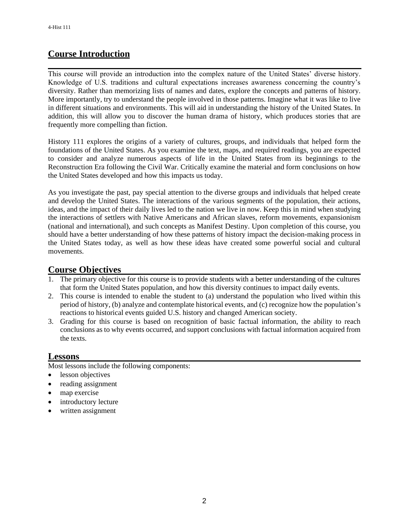# **Course Introduction**

This course will provide an introduction into the complex nature of the United States' diverse history. Knowledge of U.S. traditions and cultural expectations increases awareness concerning the country's diversity. Rather than memorizing lists of names and dates, explore the concepts and patterns of history. More importantly, try to understand the people involved in those patterns. Imagine what it was like to live in different situations and environments. This will aid in understanding the history of the United States. In addition, this will allow you to discover the human drama of history, which produces stories that are frequently more compelling than fiction.

History 111 explores the origins of a variety of cultures, groups, and individuals that helped form the foundations of the United States. As you examine the text, maps, and required readings, you are expected to consider and analyze numerous aspects of life in the United States from its beginnings to the Reconstruction Era following the Civil War. Critically examine the material and form conclusions on how the United States developed and how this impacts us today.

As you investigate the past, pay special attention to the diverse groups and individuals that helped create and develop the United States. The interactions of the various segments of the population, their actions, ideas, and the impact of their daily lives led to the nation we live in now. Keep this in mind when studying the interactions of settlers with Native Americans and African slaves, reform movements, expansionism (national and international), and such concepts as Manifest Destiny. Upon completion of this course, you should have a better understanding of how these patterns of history impact the decision-making process in the United States today, as well as how these ideas have created some powerful social and cultural movements.

#### **Course Objectives**

- 1. The primary objective for this course is to provide students with a better understanding of the cultures that form the United States population, and how this diversity continues to impact daily events.
- 2. This course is intended to enable the student to (a) understand the population who lived within this period of history, (b) analyze and contemplate historical events, and (c) recognize how the population's reactions to historical events guided U.S. history and changed American society.
- 3. Grading for this course is based on recognition of basic factual information, the ability to reach conclusions as to why events occurred, and support conclusions with factual information acquired from the texts.

#### **Lessons**

Most lessons include the following components:

- lesson objectives
- reading assignment
- map exercise
- introductory lecture
- written assignment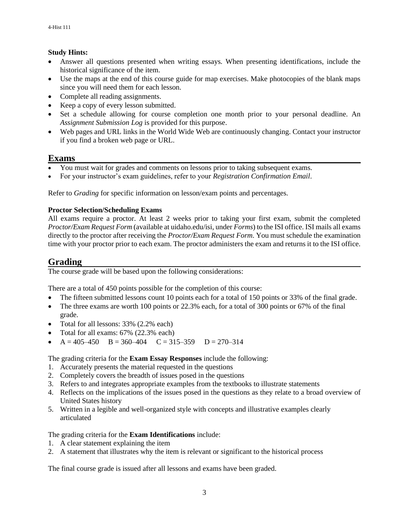#### **Study Hints:**

- Answer all questions presented when writing essays. When presenting identifications, include the historical significance of the item.
- Use the maps at the end of this course guide for map exercises. Make photocopies of the blank maps since you will need them for each lesson.
- Complete all reading assignments.
- Keep a copy of every lesson submitted.
- Set a schedule allowing for course completion one month prior to your personal deadline. An *Assignment Submission Log* is provided for this purpose.
- Web pages and URL links in the World Wide Web are continuously changing. Contact your instructor if you find a broken web page or URL.

#### **Exams**

- You must wait for grades and comments on lessons prior to taking subsequent exams.
- For your instructor's exam guidelines, refer to your *Registration Confirmation Email*.

Refer to *Grading* for specific information on lesson/exam points and percentages.

#### **Proctor Selection/Scheduling Exams**

All exams require a proctor. At least 2 weeks prior to taking your first exam, submit the completed *Proctor/Exam Request Form* (available at uidaho.edu/isi, under *Forms*) to the ISI office. ISI mails all exams directly to the proctor after receiving the *Proctor/Exam Request Form*. You must schedule the examination time with your proctor prior to each exam. The proctor administers the exam and returns it to the ISI office.

### **Grading**

The course grade will be based upon the following considerations:

There are a total of 450 points possible for the completion of this course:

- The fifteen submitted lessons count 10 points each for a total of 150 points or 33% of the final grade.
- The three exams are worth 100 points or 22.3% each, for a total of 300 points or 67% of the final grade.
- Total for all lessons: 33% (2.2% each)
- Total for all exams: 67% (22.3% each)
- $A = 405 450$   $B = 360 404$   $C = 315 359$   $D = 270 314$

The grading criteria for the **Exam Essay Responses** include the following:

- 1. Accurately presents the material requested in the questions
- 2. Completely covers the breadth of issues posed in the questions
- 3. Refers to and integrates appropriate examples from the textbooks to illustrate statements
- 4. Reflects on the implications of the issues posed in the questions as they relate to a broad overview of United States history
- 5. Written in a legible and well-organized style with concepts and illustrative examples clearly articulated

#### The grading criteria for the **Exam Identifications** include:

- 1. A clear statement explaining the item
- 2. A statement that illustrates why the item is relevant or significant to the historical process

The final course grade is issued after all lessons and exams have been graded.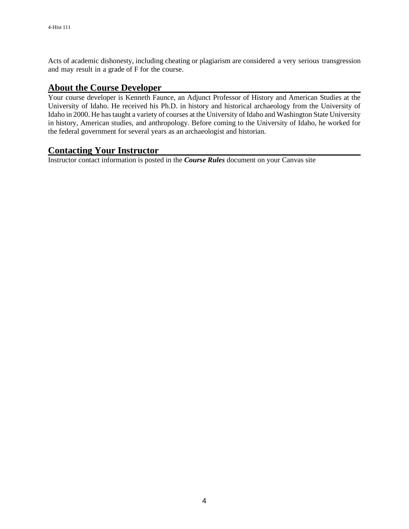Acts of academic dishonesty, including cheating or plagiarism are considered a very serious transgression and may result in a grade of F for the course.

#### **About the Course Developer**

Your course developer is Kenneth Faunce, an Adjunct Professor of History and American Studies at the University of Idaho. He received his Ph.D. in history and historical archaeology from the University of Idaho in 2000. He has taught a variety of courses at the University of Idaho and Washington State University in history, American studies, and anthropology. Before coming to the University of Idaho, he worked for the federal government for several years as an archaeologist and historian.

# **Contacting Your Instructor**

Instructor contact information is posted in the *Course Rules* document on your Canvas site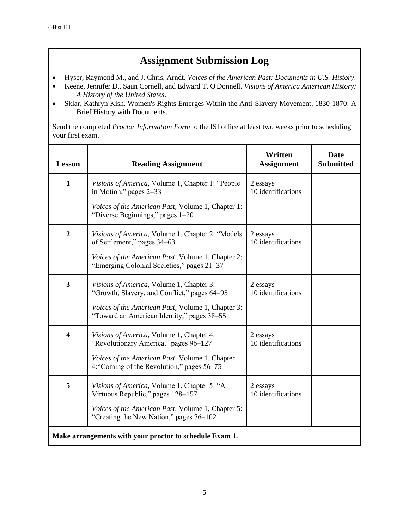# **Assignment Submission Log**

- Hyser, Raymond M., and J. Chris. Arndt. *Voices of the American Past: Documents in U.S. History*.
- Keene, Jennifer D., Saun Cornell, and Edward T. O'Donnell. *Visions of America American History: A History of the United States*.
- Sklar, Kathryn Kish. Women's Rights Emerges Within the Anti-Slavery Movement, 1830-1870: A Brief History with Documents.

Send the completed *Proctor Information Form* to the ISI office at least two weeks prior to scheduling your first exam.

| <b>Lesson</b>                                           | <b>Reading Assignment</b>                                                                       | Written<br><b>Assignment</b>   | <b>Date</b><br><b>Submitted</b> |  |
|---------------------------------------------------------|-------------------------------------------------------------------------------------------------|--------------------------------|---------------------------------|--|
| $\mathbf{1}$                                            | Visions of America, Volume 1, Chapter 1: "People<br>in Motion," pages 2–33                      | 2 essays<br>10 identifications |                                 |  |
|                                                         | <i>Voices of the American Past, Volume 1, Chapter 1:</i><br>"Diverse Beginnings," pages 1-20    |                                |                                 |  |
| $\overline{2}$                                          | Visions of America, Volume 1, Chapter 2: "Models<br>of Settlement," pages 34–63                 | 2 essays<br>10 identifications |                                 |  |
|                                                         | Voices of the American Past, Volume 1, Chapter 2:<br>"Emerging Colonial Societies," pages 21–37 |                                |                                 |  |
| 3                                                       | Visions of America, Volume 1, Chapter 3:<br>"Growth, Slavery, and Conflict," pages 64–95        | 2 essays<br>10 identifications |                                 |  |
|                                                         | Voices of the American Past, Volume 1, Chapter 3:<br>"Toward an American Identity," pages 38-55 |                                |                                 |  |
| $\overline{\mathbf{4}}$                                 | Visions of America, Volume 1, Chapter 4:<br>"Revolutionary America," pages 96-127               | 2 essays<br>10 identifications |                                 |  |
|                                                         | Voices of the American Past, Volume 1, Chapter<br>4: "Coming of the Revolution," pages 56–75    |                                |                                 |  |
| 5                                                       | Visions of America, Volume 1, Chapter 5: "A<br>Virtuous Republic," pages 128–157                | 2 essays<br>10 identifications |                                 |  |
|                                                         | Voices of the American Past, Volume 1, Chapter 5:<br>"Creating the New Nation," pages 76–102    |                                |                                 |  |
| Make arrangements with your proctor to schedule Exam 1. |                                                                                                 |                                |                                 |  |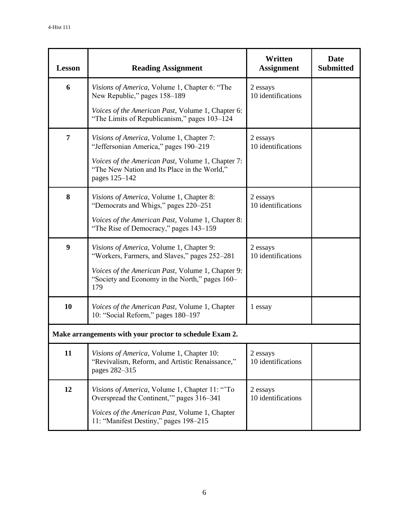| <b>Lesson</b>                                           | <b>Reading Assignment</b>                                                                                                                                                                                      | Written<br><b>Assignment</b>   | Date<br><b>Submitted</b> |  |  |
|---------------------------------------------------------|----------------------------------------------------------------------------------------------------------------------------------------------------------------------------------------------------------------|--------------------------------|--------------------------|--|--|
| 6                                                       | Visions of America, Volume 1, Chapter 6: "The<br>New Republic," pages 158-189                                                                                                                                  | 2 essays<br>10 identifications |                          |  |  |
|                                                         | <i>Voices of the American Past, Volume 1, Chapter 6:</i><br>"The Limits of Republicanism," pages 103–124                                                                                                       |                                |                          |  |  |
| 7                                                       | Visions of America, Volume 1, Chapter 7:<br>"Jeffersonian America," pages 190-219<br>Voices of the American Past, Volume 1, Chapter 7:<br>"The New Nation and Its Place in the World,"<br>pages 125-142        | 2 essays<br>10 identifications |                          |  |  |
| 8                                                       | Visions of America, Volume 1, Chapter 8:<br>"Democrats and Whigs," pages 220–251<br>Voices of the American Past, Volume 1, Chapter 8:<br>"The Rise of Democracy," pages 143–159                                | 2 essays<br>10 identifications |                          |  |  |
| 9                                                       | Visions of America, Volume 1, Chapter 9:<br>"Workers, Farmers, and Slaves," pages 252–281<br><i>Voices of the American Past, Volume 1, Chapter 9:</i><br>"Society and Economy in the North," pages 160–<br>179 | 2 essays<br>10 identifications |                          |  |  |
| 10                                                      | Voices of the American Past, Volume 1, Chapter<br>10: "Social Reform," pages 180-197                                                                                                                           | 1 essay                        |                          |  |  |
| Make arrangements with your proctor to schedule Exam 2. |                                                                                                                                                                                                                |                                |                          |  |  |
| 11                                                      | Visions of America, Volume 1, Chapter 10:<br>"Revivalism, Reform, and Artistic Renaissance,"<br>pages 282-315                                                                                                  | 2 essays<br>10 identifications |                          |  |  |
| 12                                                      | Visions of America, Volume 1, Chapter 11: "To<br>Overspread the Continent," pages 316–341<br>Voices of the American Past, Volume 1, Chapter<br>11: "Manifest Destiny," pages 198-215                           | 2 essays<br>10 identifications |                          |  |  |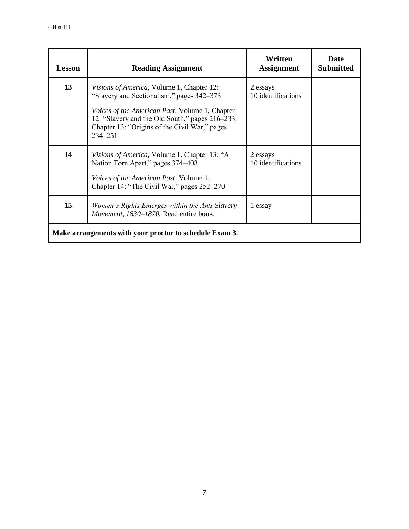| <b>Lesson</b>                                           | <b>Reading Assignment</b>                                                                                                                                                                                                                                                  | Written<br><b>Assignment</b>   | Date<br><b>Submitted</b> |  |  |
|---------------------------------------------------------|----------------------------------------------------------------------------------------------------------------------------------------------------------------------------------------------------------------------------------------------------------------------------|--------------------------------|--------------------------|--|--|
| 13                                                      | <i>Visions of America</i> , Volume 1, Chapter 12:<br>"Slavery and Sectionalism," pages 342-373<br><i>Voices of the American Past, Volume 1, Chapter</i><br>12: "Slavery and the Old South," pages 216-233,<br>Chapter 13: "Origins of the Civil War," pages<br>$234 - 251$ | 2 essays<br>10 identifications |                          |  |  |
| 14                                                      | <i>Visions of America</i> , Volume 1, Chapter 13: "A<br>Nation Torn Apart," pages 374–403<br>Voices of the American Past, Volume 1,<br>Chapter 14: "The Civil War," pages 252–270                                                                                          | 2 essays<br>10 identifications |                          |  |  |
| 15                                                      | Women's Rights Emerges within the Anti-Slavery<br>Movement, 1830-1870. Read entire book.                                                                                                                                                                                   | 1 essay                        |                          |  |  |
| Make arrangements with your proctor to schedule Exam 3. |                                                                                                                                                                                                                                                                            |                                |                          |  |  |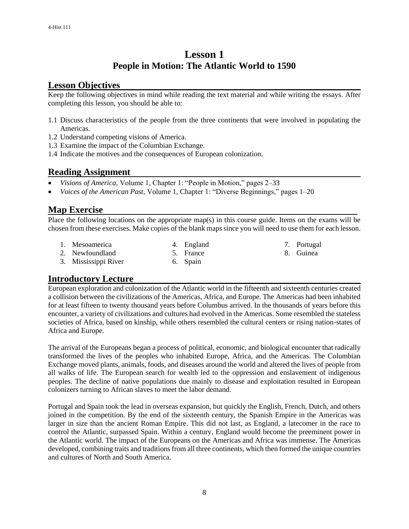# **Lesson 1 People in Motion: The Atlantic World to 1590**

# **Lesson Objectives**

Keep the following objectives in mind while reading the text material and while writing the essays. After completing this lesson, you should be able to:

- 1.1 Discuss characteristics of the people from the three continents that were involved in populating the Americas.
- 1.2 Understand competing visions of America.
- 1.3 Examine the impact of the Columbian Exchange.
- 1.4 Indicate the motives and the consequences of European colonization.

#### **Reading Assignment**

- *Visions of America,* Volume 1, Chapter 1: "People in Motion," pages 2–33
- *Voices of the American Past,* Volume 1, Chapter 1: "Diverse Beginnings," pages 1–20

#### **Map Exercise**

Place the following locations on the appropriate map(s) in this course guide. Items on the exams will be chosen from these exercises. Make copies of the blank maps since you will need to use them for each lesson.

1. Mesoamerica

4. England

- 7. Portugal
	- 8. Guinea
- 2. Newfoundland
- 5. France
- 3. Mississippi River
- 6. Spain
- **Introductory Lecture**

European exploration and colonization of the Atlantic world in the fifteenth and sixteenth centuries created a collision between the civilizations of the Americas, Africa, and Europe. The Americas had been inhabited for at least fifteen to twenty thousand years before Columbus arrived. In the thousands of years before this encounter, a variety of civilizations and cultures had evolved in the Americas. Some resembled the stateless societies of Africa, based on kinship, while others resembled the cultural centers or rising nation-states of Africa and Europe.

The arrival of the Europeans began a process of political, economic, and biological encounter that radically transformed the lives of the peoples who inhabited Europe, Africa, and the Americas. The Columbian Exchange moved plants, animals, foods, and diseases around the world and altered the lives of people from all walks of life. The European search for wealth led to the oppression and enslavement of indigenous peoples. The decline of native populations due mainly to disease and exploitation resulted in European colonizers turning to African slaves to meet the labor demand.

Portugal and Spain took the lead in overseas expansion, but quickly the English, French, Dutch, and others joined in the competition. By the end of the sixteenth century, the Spanish Empire in the Americas was larger in size than the ancient Roman Empire. This did not last, as England, a latecomer in the race to control the Atlantic, surpassed Spain. Within a century, England would become the preeminent power in the Atlantic world. The impact of the Europeans on the Americas and Africa was immense. The Americas developed, combining traits and traditions from all three continents, which then formed the unique countries and cultures of North and South America.